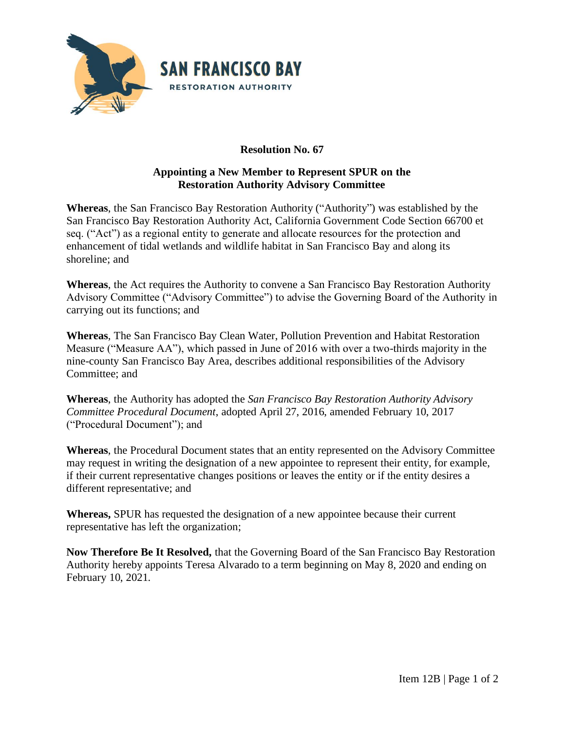

## **Resolution No. 67**

## **Appointing a New Member to Represent SPUR on the Restoration Authority Advisory Committee**

**Whereas**, the San Francisco Bay Restoration Authority ("Authority") was established by the San Francisco Bay Restoration Authority Act, California Government Code Section 66700 et seq. ("Act") as a regional entity to generate and allocate resources for the protection and enhancement of tidal wetlands and wildlife habitat in San Francisco Bay and along its shoreline; and

**Whereas**, the Act requires the Authority to convene a San Francisco Bay Restoration Authority Advisory Committee ("Advisory Committee") to advise the Governing Board of the Authority in carrying out its functions; and

**Whereas**, The San Francisco Bay Clean Water, Pollution Prevention and Habitat Restoration Measure ("Measure AA"), which passed in June of 2016 with over a two-thirds majority in the nine-county San Francisco Bay Area, describes additional responsibilities of the Advisory Committee; and

**Whereas**, the Authority has adopted the *San Francisco Bay Restoration Authority Advisory Committee Procedural Document*, adopted April 27, 2016, amended February 10, 2017 ("Procedural Document"); and

**Whereas**, the Procedural Document states that an entity represented on the Advisory Committee may request in writing the designation of a new appointee to represent their entity, for example, if their current representative changes positions or leaves the entity or if the entity desires a different representative; and

**Whereas,** SPUR has requested the designation of a new appointee because their current representative has left the organization;

**Now Therefore Be It Resolved,** that the Governing Board of the San Francisco Bay Restoration Authority hereby appoints Teresa Alvarado to a term beginning on May 8, 2020 and ending on February 10, 2021.